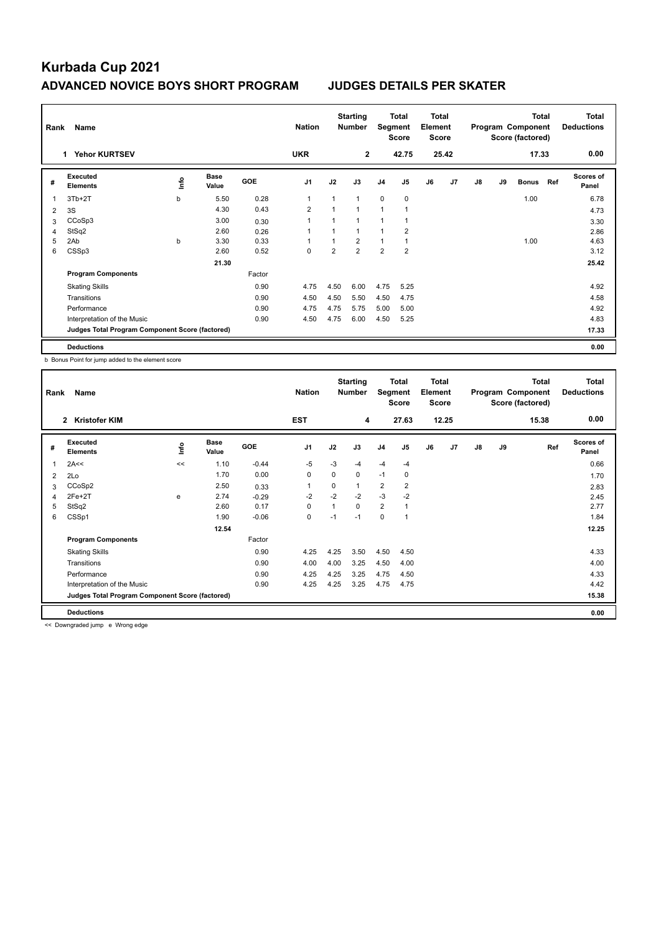## **Kurbada Cup 2021 ADVANCED NOVICE BOYS SHORT PROGRAM JUDGES DETAILS PER SKATER**

| Rank<br>Name |                                                 |    |                      |        |                |                | <b>Starting</b><br><b>Number</b> |                | Total<br>Segment<br><b>Score</b> |    | Total<br>Element<br>Score |    | <b>Total</b><br>Program Component<br>Score (factored) |              |     | <b>Total</b><br><b>Deductions</b> |
|--------------|-------------------------------------------------|----|----------------------|--------|----------------|----------------|----------------------------------|----------------|----------------------------------|----|---------------------------|----|-------------------------------------------------------|--------------|-----|-----------------------------------|
|              | <b>Yehor KURTSEV</b><br>1.                      |    |                      |        |                |                | $\overline{2}$                   |                | 42.75                            |    | 25.42                     |    |                                                       | 17.33        |     | 0.00                              |
| #            | Executed<br><b>Elements</b>                     | ۴ů | <b>Base</b><br>Value | GOE    | J <sub>1</sub> | J2             | J3                               | J <sub>4</sub> | J <sub>5</sub>                   | J6 | J <sub>7</sub>            | J8 | J9                                                    | <b>Bonus</b> | Ref | <b>Scores of</b><br>Panel         |
| 1            | $3Tb+2T$                                        | b  | 5.50                 | 0.28   | 1              | 1              | 1                                | $\mathbf 0$    | 0                                |    |                           |    |                                                       | 1.00         |     | 6.78                              |
| 2            | 3S                                              |    | 4.30                 | 0.43   | $\overline{2}$ | $\overline{1}$ | $\overline{1}$                   | 1              | 1                                |    |                           |    |                                                       |              |     | 4.73                              |
| 3            | CCoSp3                                          |    | 3.00                 | 0.30   |                | $\overline{1}$ | 1                                | 1              | 1                                |    |                           |    |                                                       |              |     | 3.30                              |
| 4            | StSq2                                           |    | 2.60                 | 0.26   |                | 1              | 1                                | $\overline{1}$ | $\overline{2}$                   |    |                           |    |                                                       |              |     | 2.86                              |
| 5            | 2Ab                                             | b  | 3.30                 | 0.33   |                | 1              | $\overline{2}$                   | $\overline{1}$ | 1                                |    |                           |    |                                                       | 1.00         |     | 4.63                              |
| 6            | CSSp3                                           |    | 2.60                 | 0.52   | $\mathbf 0$    | $\overline{2}$ | $\overline{2}$                   | $\overline{2}$ | $\overline{2}$                   |    |                           |    |                                                       |              |     | 3.12                              |
|              |                                                 |    | 21.30                |        |                |                |                                  |                |                                  |    |                           |    |                                                       |              |     | 25.42                             |
|              | <b>Program Components</b>                       |    |                      | Factor |                |                |                                  |                |                                  |    |                           |    |                                                       |              |     |                                   |
|              | <b>Skating Skills</b>                           |    |                      | 0.90   | 4.75           | 4.50           | 6.00                             | 4.75           | 5.25                             |    |                           |    |                                                       |              |     | 4.92                              |
|              | Transitions                                     |    |                      | 0.90   | 4.50           | 4.50           | 5.50                             | 4.50           | 4.75                             |    |                           |    |                                                       |              |     | 4.58                              |
|              | Performance                                     |    |                      | 0.90   | 4.75           | 4.75           | 5.75                             | 5.00           | 5.00                             |    |                           |    |                                                       |              |     | 4.92                              |
|              | Interpretation of the Music                     |    |                      | 0.90   | 4.50           | 4.75           | 6.00                             | 4.50           | 5.25                             |    |                           |    |                                                       |              |     | 4.83                              |
|              | Judges Total Program Component Score (factored) |    |                      |        |                |                |                                  |                |                                  |    |                           |    |                                                       |              |     | 17.33                             |
|              | <b>Deductions</b>                               |    |                      |        |                |                |                                  |                |                                  |    |                           |    |                                                       |              |     | 0.00                              |

b Bonus Point for jump added to the element score

| Rank           | Name                                            |    |                      |            | <b>Nation</b>  |      | <b>Starting</b><br><b>Number</b> | Total<br>Segment<br><b>Score</b> |                | <b>Total</b><br>Element<br><b>Score</b> |       | <b>Total</b><br>Program Component<br>Score (factored) |    |       | Total<br><b>Deductions</b> |
|----------------|-------------------------------------------------|----|----------------------|------------|----------------|------|----------------------------------|----------------------------------|----------------|-----------------------------------------|-------|-------------------------------------------------------|----|-------|----------------------------|
|                | <b>Kristofer KIM</b><br>$\mathbf{2}$            |    |                      |            | <b>EST</b>     |      | 4                                |                                  | 27.63          |                                         | 12.25 |                                                       |    | 15.38 | 0.00                       |
| #              | Executed<br><b>Elements</b>                     | ١m | <b>Base</b><br>Value | <b>GOE</b> | J <sub>1</sub> | J2   | J3                               | J <sub>4</sub>                   | J <sub>5</sub> | J6                                      | J7    | J8                                                    | J9 | Ref   | <b>Scores of</b><br>Panel  |
| 1              | 2A<<                                            | << | 1.10                 | $-0.44$    | $-5$           | $-3$ | $-4$                             | $-4$                             | $-4$           |                                         |       |                                                       |    |       | 0.66                       |
| $\overline{2}$ | 2Lo                                             |    | 1.70                 | 0.00       | 0              | 0    | 0                                | $-1$                             | 0              |                                         |       |                                                       |    |       | 1.70                       |
| 3              | CCoSp2                                          |    | 2.50                 | 0.33       |                | 0    | 1                                | $\overline{2}$                   | $\overline{2}$ |                                         |       |                                                       |    |       | 2.83                       |
| $\overline{4}$ | $2Fe+2T$                                        | e  | 2.74                 | $-0.29$    | $-2$           | $-2$ | $-2$                             | $-3$                             | $-2$           |                                         |       |                                                       |    |       | 2.45                       |
| 5              | StSq2                                           |    | 2.60                 | 0.17       | 0              | 1    | 0                                | $\overline{2}$                   | $\mathbf{1}$   |                                         |       |                                                       |    |       | 2.77                       |
| 6              | CSSp1                                           |    | 1.90                 | $-0.06$    | 0              | $-1$ | $-1$                             | 0                                | 1              |                                         |       |                                                       |    |       | 1.84                       |
|                |                                                 |    | 12.54                |            |                |      |                                  |                                  |                |                                         |       |                                                       |    |       | 12.25                      |
|                | <b>Program Components</b>                       |    |                      | Factor     |                |      |                                  |                                  |                |                                         |       |                                                       |    |       |                            |
|                | <b>Skating Skills</b>                           |    |                      | 0.90       | 4.25           | 4.25 | 3.50                             | 4.50                             | 4.50           |                                         |       |                                                       |    |       | 4.33                       |
|                | Transitions                                     |    |                      | 0.90       | 4.00           | 4.00 | 3.25                             | 4.50                             | 4.00           |                                         |       |                                                       |    |       | 4.00                       |
|                | Performance                                     |    |                      | 0.90       | 4.25           | 4.25 | 3.25                             | 4.75                             | 4.50           |                                         |       |                                                       |    |       | 4.33                       |
|                | Interpretation of the Music                     |    |                      | 0.90       | 4.25           | 4.25 | 3.25                             | 4.75                             | 4.75           |                                         |       |                                                       |    |       | 4.42                       |
|                | Judges Total Program Component Score (factored) |    |                      |            |                |      |                                  |                                  |                |                                         |       |                                                       |    |       | 15.38                      |
|                | <b>Deductions</b>                               |    |                      |            |                |      |                                  |                                  |                |                                         |       |                                                       |    |       | 0.00                       |

<< Downgraded jump e Wrong edge